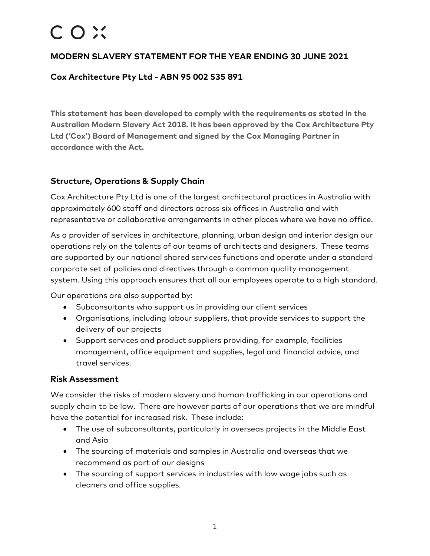# COX

# **MODERN SLAVERY STATEMENT FOR THE YEAR ENDING 30 JUNE 2021**

## **Cox Architecture Pty Ltd - ABN 95 002 535 891**

**This statement has been developed to comply with the requirements as stated in the Australian Modern Slavery Act 2018. It has been approved by the Cox Architecture Pty Ltd ('Cox') Board of Management and signed by the Cox Managing Partner in accordance with the Act.**

### **Structure, Operations & Supply Chain**

Cox Architecture Pty Ltd is one of the largest architectural practices in Australia with approximately 600 staff and directors across six offices in Australia and with representative or collaborative arrangements in other places where we have no office.

As a provider of services in architecture, planning, urban design and interior design our operations rely on the talents of our teams of architects and designers. These teams are supported by our national shared services functions and operate under a standard corporate set of policies and directives through a common quality management system. Using this approach ensures that all our employees operate to a high standard.

Our operations are also supported by:

- Subconsultants who support us in providing our client services
- Organisations, including labour suppliers, that provide services to support the delivery of our projects
- Support services and product suppliers providing, for example, facilities management, office equipment and supplies, legal and financial advice, and travel services.

#### **Risk Assessment**

We consider the risks of modern slavery and human trafficking in our operations and supply chain to be low. There are however parts of our operations that we are mindful have the potential for increased risk. These include:

- The use of subconsultants, particularly in overseas projects in the Middle East and Asia
- The sourcing of materials and samples in Australia and overseas that we recommend as part of our designs
- The sourcing of support services in industries with low wage jobs such as cleaners and office supplies.